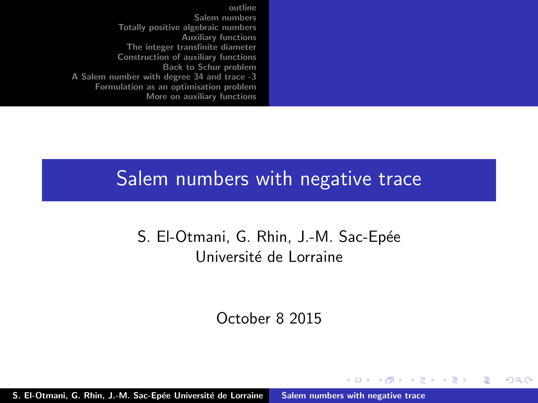#### <span id="page-0-0"></span>Salem numbers with negative trace

S. El-Otmani, G. Rhin, J.-M. Sac-Epée Université de Lorraine

October 8 2015

K ロ ⊁ K 倒 ≯ K ミ ⊁ K ミ ≯

 $2Q$ 

后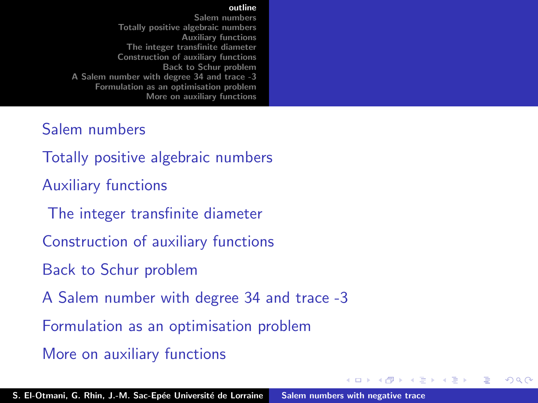#### [outline](#page-1-0)

<span id="page-1-0"></span>[Salem numbers](#page-2-0) [Totally positive algebraic numbers](#page-11-0) [Auxiliary functions](#page-16-0) [The integer transfinite diameter](#page-20-0) [Construction of auxiliary functions](#page-24-0) [Back to Schur problem](#page-28-0) [A Salem number with degree 34 and trace -3](#page-31-0) [Formulation as an optimisation problem](#page-37-0) [More on auxiliary functions](#page-44-0)

#### [Salem numbers](#page-2-0)

[Totally positive algebraic numbers](#page-11-0)

[Auxiliary functions](#page-16-0)

[The integer transfinite diameter](#page-20-0)

[Construction of auxiliary functions](#page-24-0)

[Back to Schur problem](#page-28-0)

[A Salem number with degree 34 and trace -3](#page-31-0)

[Formulation as an optimisation problem](#page-37-0)

[More on auxiliary functions](#page-44-0)

 $4.11 \times 4.60 \times 4.72 \times$ 

 $2Q$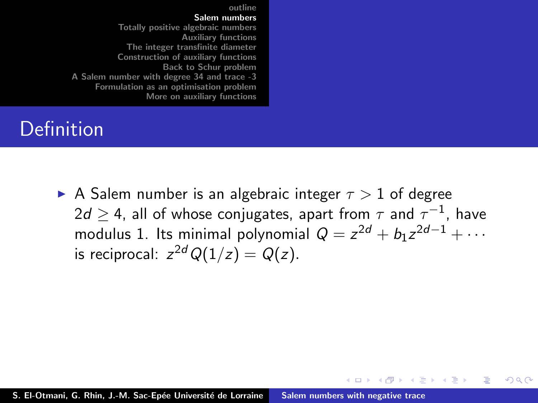## <span id="page-2-0"></span>Definition

A Salem number is an algebraic integer  $\tau > 1$  of degree  $2d\geq$  4, all of whose conjugates, apart from  $\tau$  and  $\tau^{-1}$ , have modulus 1. Its minimal polynomial  $Q = z^{2d} + b_1 z^{2d-1} + \cdots$ is reciprocal:  $z^{2d} Q(1/z) = Q(z)$ .

K ロ ⊁ K 倒 ≯ K ミ ⊁ K ミ ≯

 $2Q$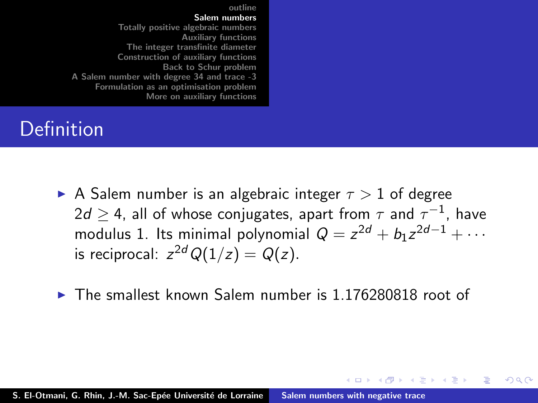## **Definition**

- A Salem number is an algebraic integer  $\tau > 1$  of degree  $2d\geq$  4, all of whose conjugates, apart from  $\tau$  and  $\tau^{-1}$ , have modulus 1. Its minimal polynomial  $Q = z^{2d} + b_1 z^{2d-1} + \cdots$ is reciprocal:  $z^{2d} Q(1/z) = Q(z)$ .
- $\triangleright$  The smallest known Salem number is 1.176280818 root of

K ロ ⊁ K 倒 ≯ K ミ ⊁ K ミ ≯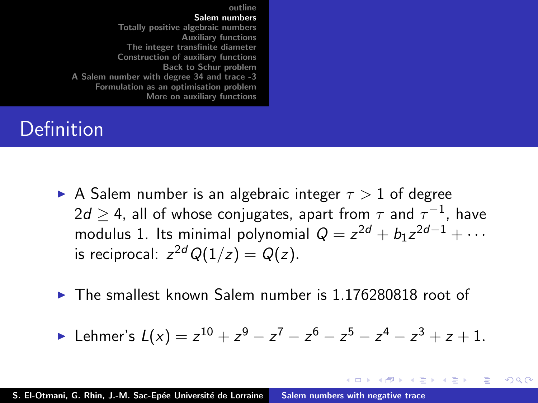## **Definition**

- A Salem number is an algebraic integer  $\tau > 1$  of degree  $2d\geq$  4, all of whose conjugates, apart from  $\tau$  and  $\tau^{-1}$ , have modulus 1. Its minimal polynomial  $Q = z^{2d} + b_1 z^{2d-1} + \cdots$ is reciprocal:  $z^{2d} Q(1/z) = Q(z)$ .
- $\triangleright$  The smallest known Salem number is 1.176280818 root of

$$
\blacktriangleright \text{ Lehmer's } L(x) = z^{10} + z^9 - z^7 - z^6 - z^5 - z^4 - z^3 + z + 1.
$$

K ロ ⊁ K 倒 ≯ K ミ ⊁ K ミ ≯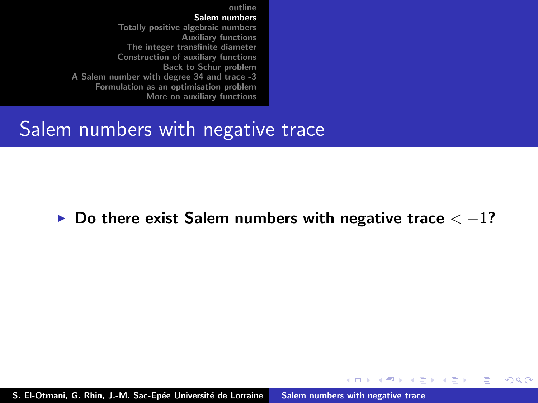#### Salem numbers with negative trace

#### $\triangleright$  Do there exist Salem numbers with negative trace  $\lt -1$ ?

K ロ ⊁ K 倒 ≯ K ミ ⊁ K ミ ≯

 $2Q$ 

后

S. El-Otmani, G. Rhin, J.-M. Sac-Epée Université de Lorraine [Salem numbers with negative trace](#page-0-0)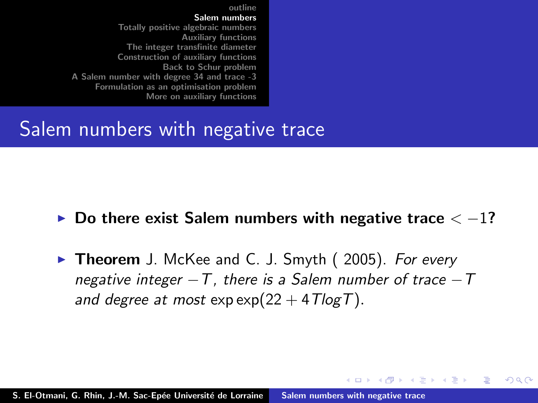#### Salem numbers with negative trace

- $\triangleright$  Do there exist Salem numbers with negative trace  $\lt -1$ ?
- $\triangleright$  Theorem J. McKee and C. J. Smyth (2005). For every negative integer  $-T$ , there is a Salem number of trace  $-T$ and degree at most  $\exp(\frac{22 + 4T\log T}{n})$ .

イロメ イタメ イラメ

i al T≣ira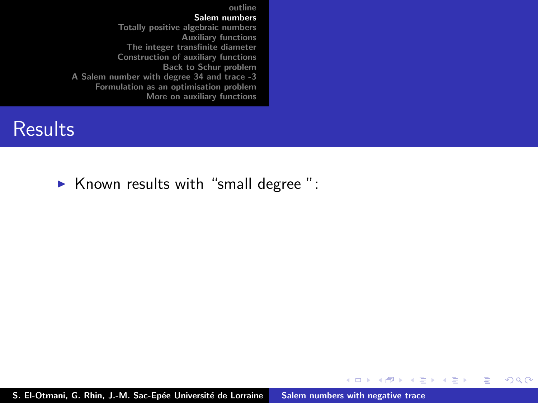#### **Results**

 $\triangleright$  Known results with "small degree":

S. El-Otmani, G. Rhin, J.-M. Sac-Epée Université de Lorraine [Salem numbers with negative trace](#page-0-0)

メロメ メタメ メミメ メミメ

重

 $2Q$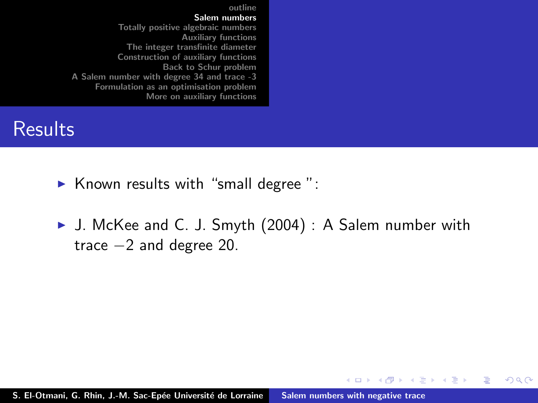#### **Results**

- $\triangleright$  Known results with "small degree":
- ▶ J. McKee and C. J. Smyth (2004) : A Salem number with trace −2 and degree 20.

K ロ ⊁ K 倒 ≯ K ミ ⊁ K ミ ≯

 $2Q$ 

扂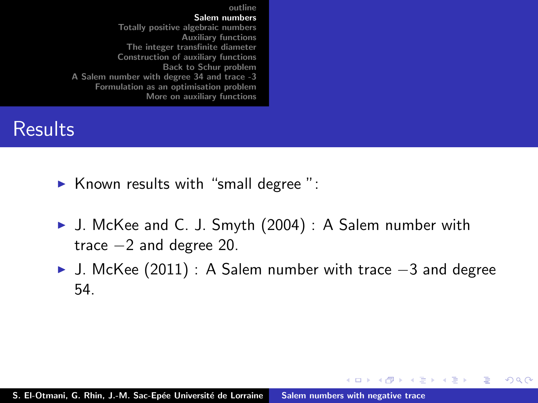#### **Results**

- $\triangleright$  Known results with "small degree":
- ▶ J. McKee and C. J. Smyth (2004) : A Salem number with trace −2 and degree 20.
- <sup>I</sup> J. McKee (2011) : A Salem number with trace −3 and degree 54.

K ロ ⊁ K 倒 ≯ K ミ ⊁ K ミ ≯

 $2Q$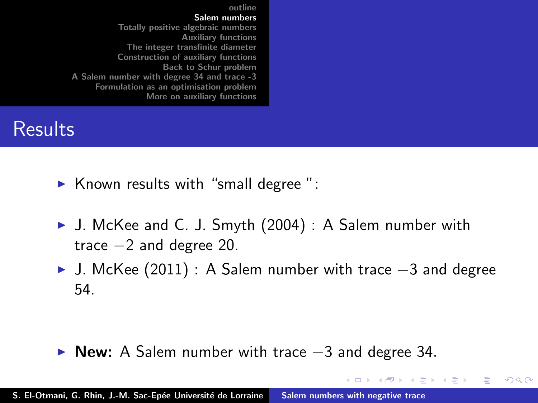#### **Results**

- $\triangleright$  Known results with "small degree":
- ▶ J. McKee and C. J. Smyth (2004) : A Salem number with trace −2 and degree 20.
- <sup>I</sup> J. McKee (2011) : A Salem number with trace −3 and degree 54.

メロメ メ御 メメ ミメ メミメ

 $2Q$ 

 $\triangleright$  New: A Salem number with trace  $-3$  and degree 34.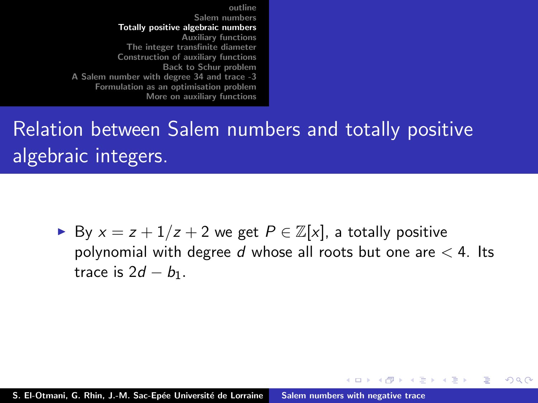## <span id="page-11-0"></span>Relation between Salem numbers and totally positive algebraic integers.

► By  $x = z + 1/z + 2$  we get  $P \in \mathbb{Z}[x]$ , a totally positive polynomial with degree  $d$  whose all roots but one are  $<$  4. Its trace is  $2d - b_1$ .

 $4.11 \times 4.60 \times 4.72 \times$ 

ia ⊞is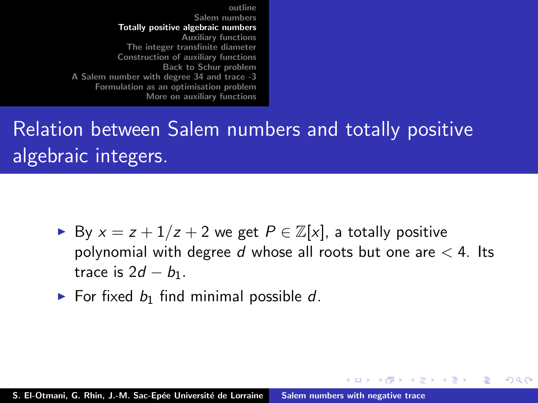# Relation between Salem numbers and totally positive algebraic integers.

► By  $x = z + 1/z + 2$  we get  $P \in \mathbb{Z}[x]$ , a totally positive polynomial with degree  $d$  whose all roots but one are  $<$  4. Its trace is  $2d - b_1$ .

 $4.11 \times 4.60 \times 4.72 \times$ 

ia ⊞is

へのへ

 $\triangleright$  For fixed  $b_1$  find minimal possible d.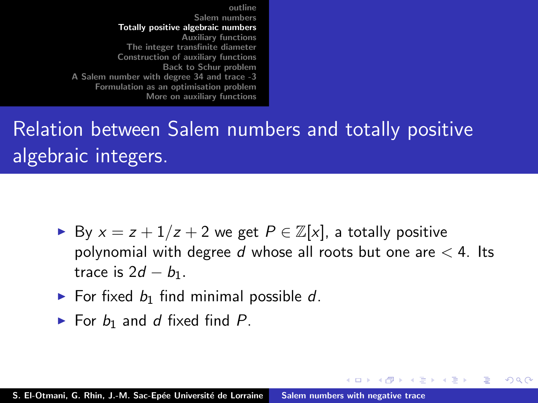# Relation between Salem numbers and totally positive algebraic integers.

► By  $x = z + 1/z + 2$  we get  $P \in \mathbb{Z}[x]$ , a totally positive polynomial with degree  $d$  whose all roots but one are  $<$  4. Its trace is  $2d - b_1$ .

 $4.11 \times 4.60 \times 4.72 \times$ 

ia ⊞is

- $\triangleright$  For fixed  $b_1$  find minimal possible d.
- $\blacktriangleright$  For  $b_1$  and d fixed find P.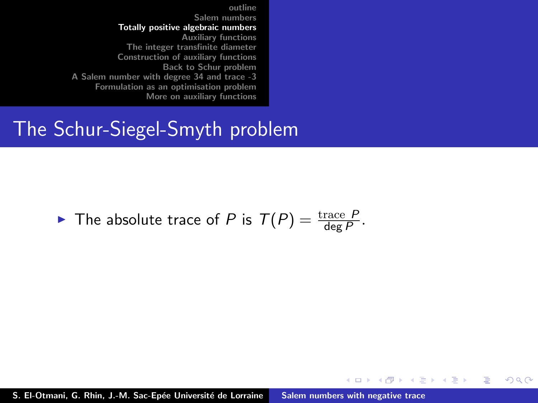## The Schur-Siegel-Smyth problem

## $\blacktriangleright$  The absolute trace of P is  $T(P) = \frac{\text{trace } P}{\text{deg } P}$ .

S. El-Otmani, G. Rhin, J.-M. Sac-Epée Université de Lorraine [Salem numbers with negative trace](#page-0-0)

イロト イ押 トイモト イモト

 $2Q$ 

扂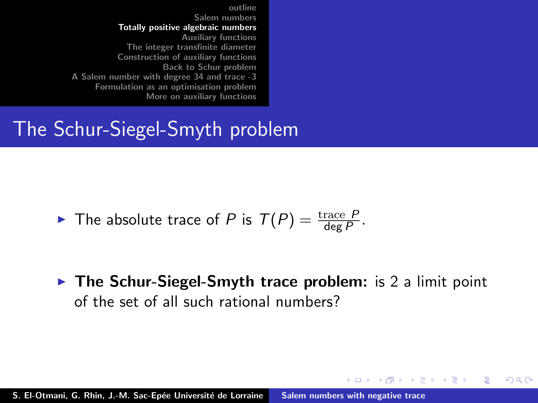## The Schur-Siegel-Smyth problem

 $\blacktriangleright$  The absolute trace of P is  $T(P) = \frac{\text{trace } P}{\text{deg } P}$ .

 $\triangleright$  The Schur-Siegel-Smyth trace problem: is 2 a limit point of the set of all such rational numbers?

メロメ メ御 メメ ミメ メミメ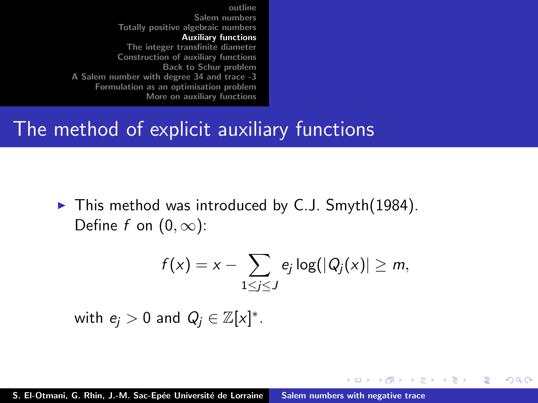#### <span id="page-16-0"></span>The method of explicit auxiliary functions

 $\blacktriangleright$  This method was introduced by C.J. Smyth(1984). Define f on  $(0, \infty)$ :

$$
f(x) = x - \sum_{1 \leq j \leq J} e_j \log(|Q_j(x)| \geq m,
$$

K ロ ⊁ K 倒 ≯ K ミ ⊁ K ミ ≯

 $2Q$ 

with  $e_j > 0$  and  $Q_j \in \mathbb{Z}[x]^*$ .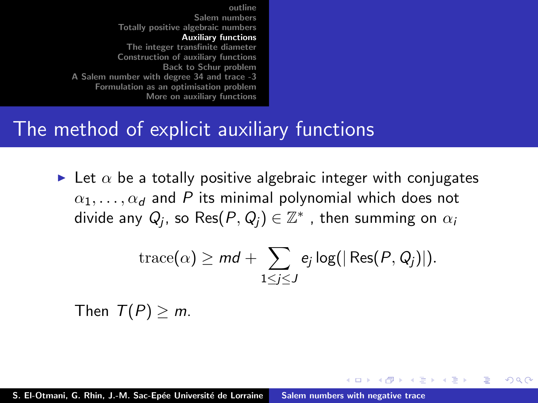### The method of explicit auxiliary functions

In Let  $\alpha$  be a totally positive algebraic integer with conjugates  $\alpha_1, \ldots, \alpha_d$  and P its minimal polynomial which does not divide any  $Q_j$ , so  $\mathsf{Res}(P,Q_j)\in \mathbb{Z}^*$  , then summing on  $\alpha_i$ 

$$
\operatorname{trace}(\alpha) \geq md + \sum_{1 \leq j \leq J} e_j \log(|\operatorname{Res}(P, Q_j)|).
$$

メロメ メ御 メメ ミメ メミメ

へのへ

Then  $T(P) > m$ .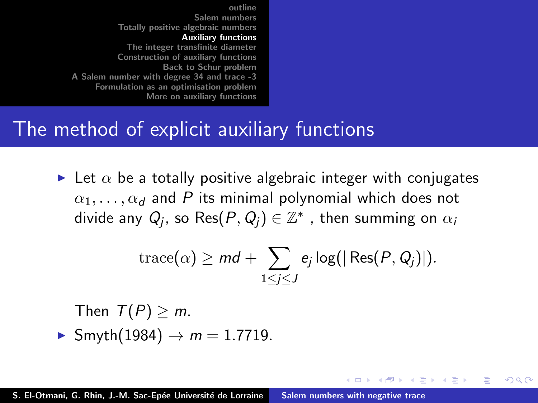### The method of explicit auxiliary functions

In Let  $\alpha$  be a totally positive algebraic integer with conjugates  $\alpha_1, \ldots, \alpha_d$  and P its minimal polynomial which does not divide any  $Q_j$ , so  $\mathsf{Res}(P,Q_j)\in \mathbb{Z}^*$  , then summing on  $\alpha_i$ 

$$
\operatorname{trace}(\alpha) \geq md + \sum_{1 \leq j \leq J} e_j \log(|\operatorname{Res}(P, Q_j)|).
$$

 $\left\{ \begin{array}{ccc} 1 & 0 & 0 \\ 0 & 1 & 0 \end{array} \right\}$  ,  $\left\{ \begin{array}{ccc} -1 & 0 & 0 \\ 0 & 0 & 0 \end{array} \right\}$ 

ia ⊞is

Then 
$$
T(P) \ge m
$$
.  
▶ Smyth(1984) →  $m = 1.7719$ .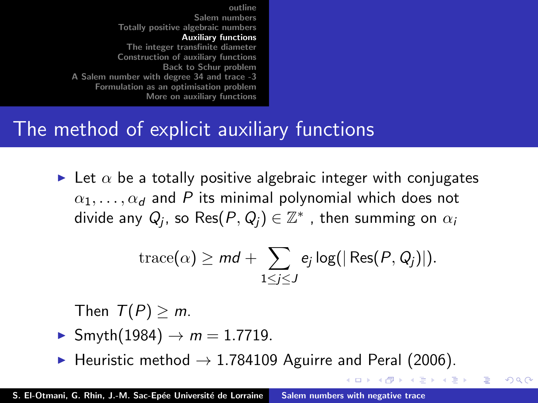## The method of explicit auxiliary functions

In Let  $\alpha$  be a totally positive algebraic integer with conjugates  $\alpha_1, \ldots, \alpha_d$  and P its minimal polynomial which does not divide any  $Q_j$ , so  $\mathsf{Res}(P,Q_j)\in \mathbb{Z}^*$  , then summing on  $\alpha_i$ 

$$
\operatorname{trace}(\alpha) \geq md + \sum_{1 \leq j \leq J} e_j \log(|\operatorname{Res}(P, Q_j)|).
$$

マーター マーティング

つくい

Then  $T(P) \geq m$ .

- $\blacktriangleright$  Smyth(1984)  $\rightarrow$   $m = 1.7719$ .
- $\blacktriangleright$  Heuristic method  $\rightarrow$  1.784109 Aguirre and Peral (2006).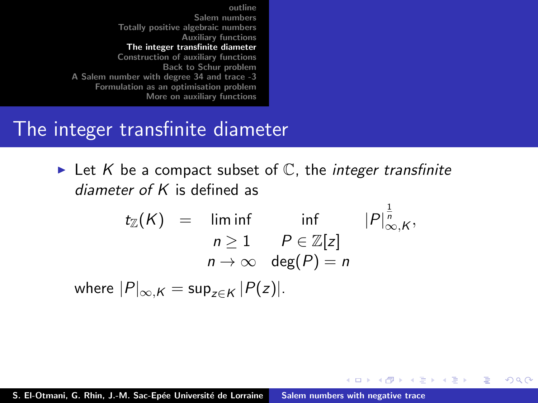### <span id="page-20-0"></span>The integer transfinite diameter

In Let K be a compact subset of  $\mathbb C$ , the *integer transfinite* diameter of K is defined as

> $t_{\mathbb{Z}}(K) = \liminf$  inf  $|P|^{\frac{1}{n}}_{\infty,K},$  $n \geq 1$   $P \in \mathbb{Z}[z]$  $n \to \infty$  deg(P) = n

> > K ロ ▶ K 御 ▶ K 君 ▶ K 君 ▶ ...

 $2Q$ 

唾

where  $|P|_{\infty,K} = \sup_{z \in K} |P(z)|$ .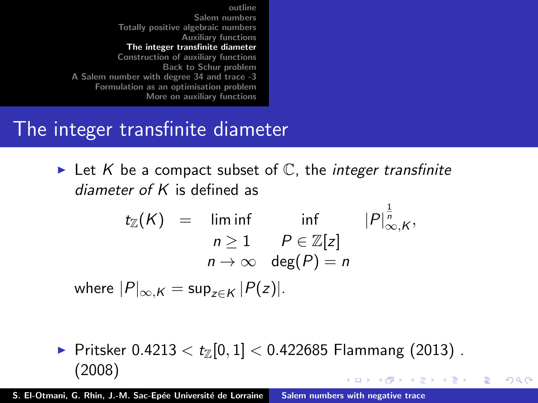## The integer transfinite diameter

In Let K be a compact subset of  $\mathbb C$ , the *integer transfinite* diameter of K is defined as

$$
t_{\mathbb{Z}}(K) = \liminf_{n \geq 1} \inf_{\begin{array}{l} P \in \mathbb{Z}[z] \\ n \to \infty \end{array}} |\mathcal{P}|_{\infty,K}^{\frac{1}{n}},
$$

where  $|P|_{\infty,K} = \sup_{z \in K} |P(z)|$ .

▶ Pritsker 0.4213 <  $t_{\mathbb{Z}}[0,1]$  < 0.422685 Flammang (2013). (2008) イロト イ押 トイモト イモト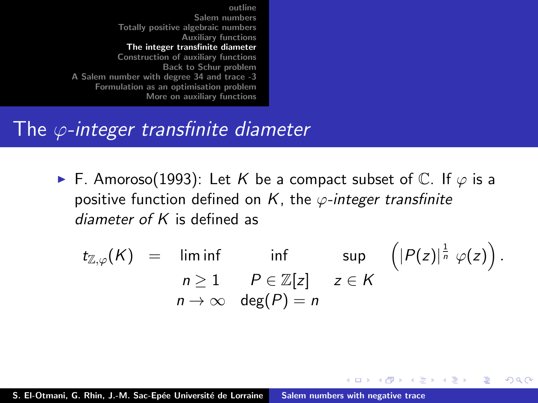### The  $\varphi$ -integer transfinite diameter

► F. Amoroso(1993): Let K be a compact subset of  $\mathbb C$ . If  $\varphi$  is a positive function defined on K, the  $\varphi$ -integer transfinite diameter of K is defined as

$$
t_{\mathbb{Z},\varphi}(K) = \liminf_{n \geq 1} \inf_{\begin{array}{l} P \in \mathbb{Z}[z] \\ n \to \infty \end{array}} \sup_{\mathsf{deg}(P) = n} \left( |P(z)|^{\frac{1}{n}} \varphi(z) \right).
$$

 $\left\{ \begin{array}{ccc} 1 & 0 & 0 \\ 0 & 1 & 0 \end{array} \right\}$ 

 $\Omega$ 

 $\rightarrow$   $\equiv$   $\rightarrow$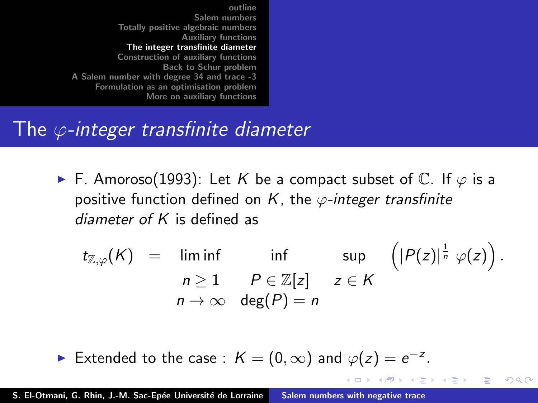## <span id="page-23-0"></span>The  $\varphi$ -integer transfinite diameter

► F. Amoroso(1993): Let K be a compact subset of  $\mathbb C$ . If  $\varphi$  is a positive function defined on K, the  $\varphi$ -integer transfinite diameter of  $K$  is defined as

$$
t_{\mathbb{Z},\varphi}(K) = \liminf_{n \geq 1} \inf_{\begin{array}{l} P \in \mathbb{Z}[z] \\ n \to \infty \end{array}} \sup_{\mathsf{deg}(P) = n} \left( |P(z)|^{\frac{1}{n}} \varphi(z) \right).
$$

 $\Omega$ 

 $\mathcal{A}$  and  $\mathcal{A}$  . The  $\mathcal{A}$  is a set of  $\mathcal{B}$ 

Extended to the case :  $K = (0, \infty)$  and  $\varphi(z) = e^{-z}$ .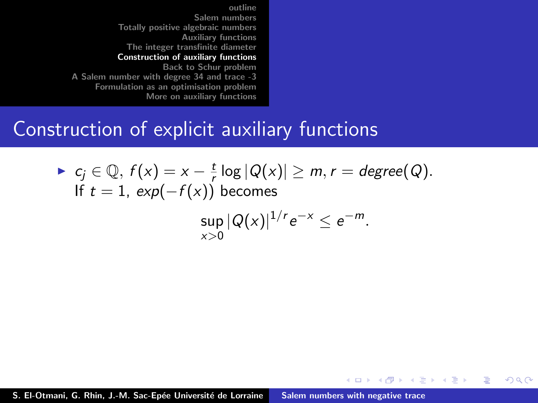#### <span id="page-24-0"></span>Construction of explicit auxiliary functions

• 
$$
c_j \in \mathbb{Q}
$$
,  $f(x) = x - \frac{t}{r} \log |Q(x)| \ge m$ ,  $r = degree(Q)$ .  
\nIf  $t = 1$ ,  $exp(-f(x))$  becomes  
\n
$$
\sup_{x>0} |Q(x)|^{1/r} e^{-x} \le e^{-m}.
$$

K ロ ⊁ K 倒 ≯ K ミ ⊁ K ミ ≯

重

 $2Q$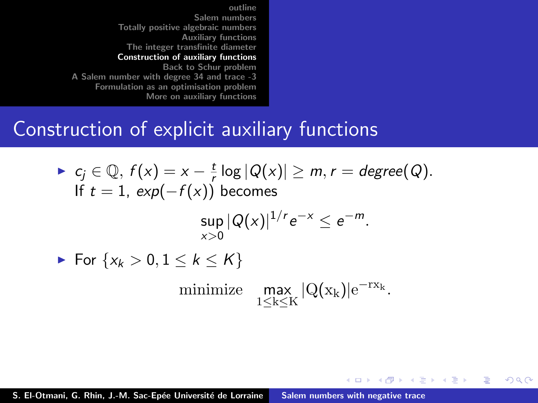#### Construction of explicit auxiliary functions

\n- \n
$$
c_j \in \mathbb{Q}, f(x) = x - \frac{t}{r} \log |Q(x)| \geq m, r = \text{degree}(Q).
$$
\n If  $t = 1, \exp(-f(x))$  becomes\n  $\sup_{x > 0} |Q(x)|^{1/r} e^{-x} \leq e^{-m}.$ \n
\n- \n $\blacktriangleright$  For  $\{x_k > 0, 1 \leq k \leq K\}$ \n minimize  $\max_{1 \leq k \leq K} |Q(x_k)| e^{-rx_k}.$ \n
\n

K ロ ⊁ K 倒 ≯ K ミ ⊁ K ミ ≯

重

 $2Q$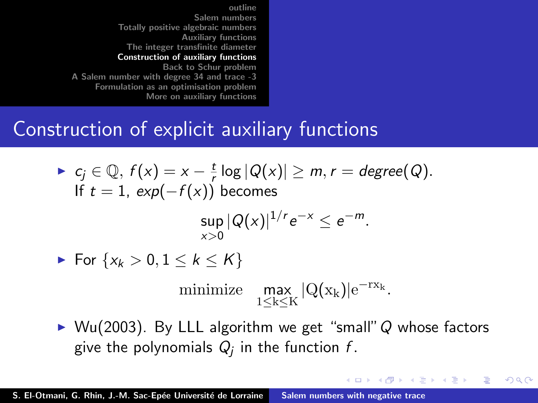## <span id="page-26-0"></span>Construction of explicit auxiliary functions

- $\blacktriangleright$  c<sub>j</sub>  $\in \mathbb{Q}, f(x) = x \frac{t}{t}$  $\frac{t}{r} \log |Q(x)| \geq m, r = degree(Q).$ If  $t = 1$ ,  $exp(-f(x))$  becomes  $\sup |Q(x)|^{1/r}e^{-x} \leq e^{-m}.$  $x>0$ For  $\{x_k > 0, 1 \leq k \leq K\}$ minimize  $\max_{1 \leq k \leq K} |Q(x_k)| e^{-r x_k}.$
- $\triangleright$  Wu(2003). By LLL algorithm we get "small" Q whose factors give the polynomials  $Q_j$  in the function  $f.$

イロメ イ部メ イヨメ イヨメー

 $2Q$ 

后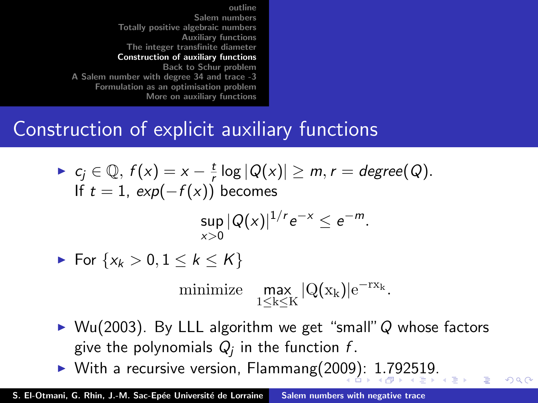## <span id="page-27-0"></span>Construction of explicit auxiliary functions

- $\blacktriangleright$  c<sub>j</sub>  $\in \mathbb{Q}, f(x) = x \frac{t}{t}$  $\frac{t}{r} \log |Q(x)| \geq m, r = degree(Q).$ If  $t = 1$ ,  $exp(-f(x))$  becomes  $\sup |Q(x)|^{1/r}e^{-x} \leq e^{-m}.$  $x>0$ For  $\{x_k > 0, 1 \leq k \leq K\}$ minimize  $\max_{1 \le k \le K} |Q(x_k)| e^{-r x_k}$ .
- $\triangleright$  Wu(2003). By LLL algorithm we get "small" Q whose factors give the polynomials  $Q_j$  in the function  $f.$

 $\Omega$ 

 $\blacktriangleright$  With a recursive version, Flammang(20[09](#page-26-0))[:](#page-28-0) [1](#page-23-0).[7](#page-27-0)[9](#page-28-0)[25](#page-23-0)[1](#page-27-0)[9.](#page-28-0)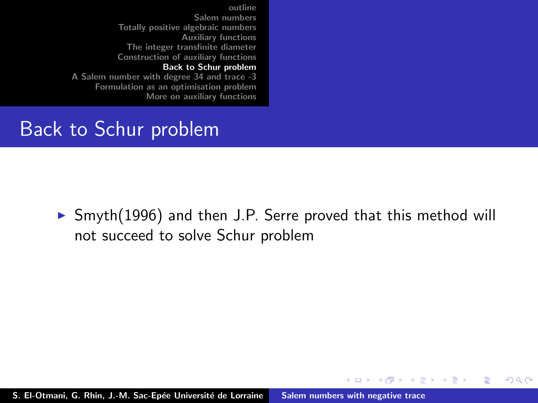<span id="page-28-0"></span>[outline](#page-1-0) [Salem numbers](#page-2-0) [Totally positive algebraic numbers](#page-11-0) [Auxiliary functions](#page-16-0) [The integer transfinite diameter](#page-20-0) [Construction of auxiliary functions](#page-24-0) [Back to Schur problem](#page-28-0)

[A Salem number with degree 34 and trace -3](#page-31-0) [Formulation as an optimisation problem](#page-37-0) [More on auxiliary functions](#page-44-0)

#### Back to Schur problem

 $\triangleright$  Smyth(1996) and then J.P. Serre proved that this method will not succeed to solve Schur problem

メロメ メ御 メメ ミメ メミメ

 $2Q$ 

Ξ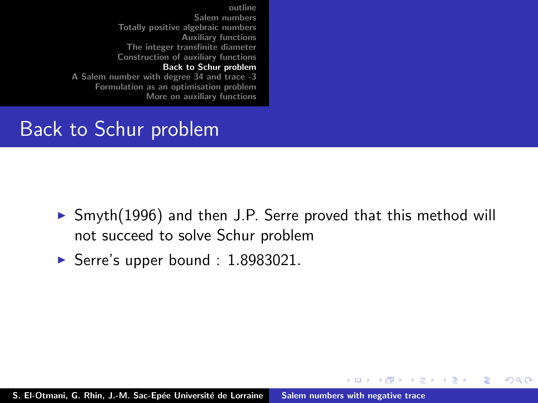[outline](#page-1-0) [Salem numbers](#page-2-0) [Totally positive algebraic numbers](#page-11-0) [Auxiliary functions](#page-16-0) [The integer transfinite diameter](#page-20-0) [Construction of auxiliary functions](#page-24-0) [Back to Schur problem](#page-28-0)

[A Salem number with degree 34 and trace -3](#page-31-0) [Formulation as an optimisation problem](#page-37-0) [More on auxiliary functions](#page-44-0)

#### Back to Schur problem

 $\triangleright$  Smyth(1996) and then J.P. Serre proved that this method will not succeed to solve Schur problem

**K ロ ト K 倒 ト K 走 ト** 

ia ⊞is

 $2Q$ 

Serre's upper bound :  $1.8983021$ .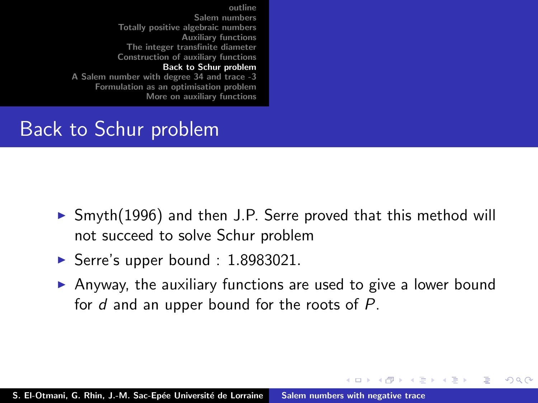[outline](#page-1-0) [Salem numbers](#page-2-0) [Totally positive algebraic numbers](#page-11-0) [Auxiliary functions](#page-16-0) [The integer transfinite diameter](#page-20-0) [Construction of auxiliary functions](#page-24-0) [Back to Schur problem](#page-28-0) [A Salem number with degree 34 and trace -3](#page-31-0)

[Formulation as an optimisation problem](#page-37-0) [More on auxiliary functions](#page-44-0)

### Back to Schur problem

- $\triangleright$  Smyth(1996) and then J.P. Serre proved that this method will not succeed to solve Schur problem
- Serre's upper bound :  $1.8983021$ .
- $\triangleright$  Anyway, the auxiliary functions are used to give a lower bound for d and an upper bound for the roots of P.

 $4.11 \times 4.60 \times 4.72 \times$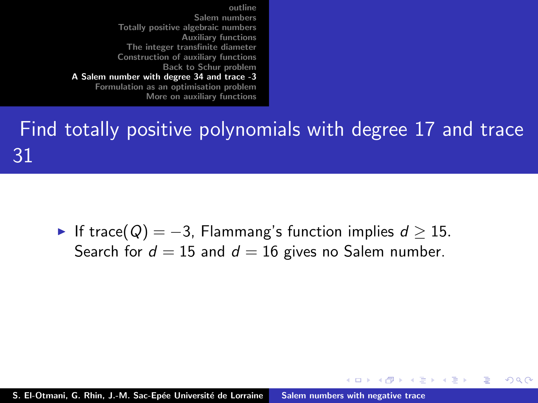## <span id="page-31-0"></span>Find totally positive polynomials with degree 17 and trace 31

 $\triangleright$  If trace(Q) = -3, Flammang's function implies  $d \ge 15$ . Search for  $d = 15$  and  $d = 16$  gives no Salem number.

 $4.11 \times 4.60 \times 4.72 \times$ 

ia ⊞is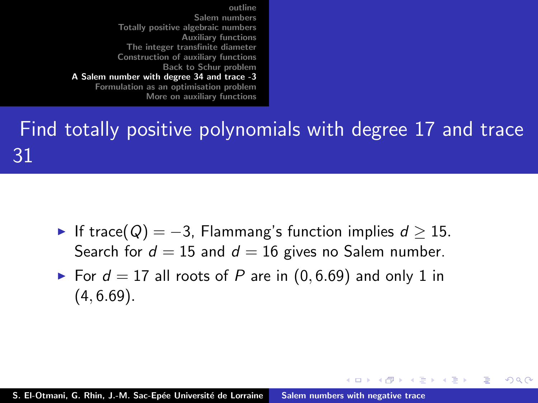Find totally positive polynomials with degree 17 and trace 31

- ► If trace( $Q$ ) = -3, Flammang's function implies  $d \ge 15$ . Search for  $d = 15$  and  $d = 16$  gives no Salem number.
- For  $d = 17$  all roots of P are in  $(0, 6.69)$  and only 1 in  $(4, 6.69)$ .

イロメ イタメ イラメ

i al T≣ira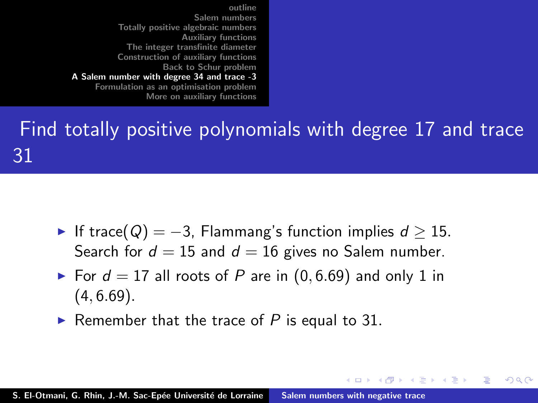Find totally positive polynomials with degree 17 and trace 31

- ► If trace( $Q$ ) = -3, Flammang's function implies  $d \ge 15$ . Search for  $d = 15$  and  $d = 16$  gives no Salem number.
- For  $d = 17$  all roots of P are in  $(0, 6.69)$  and only 1 in  $(4, 6.69)$ .

イロメ イタメ イラメ

i al T≣ira

へのへ

Remember that the trace of P is equal to 31.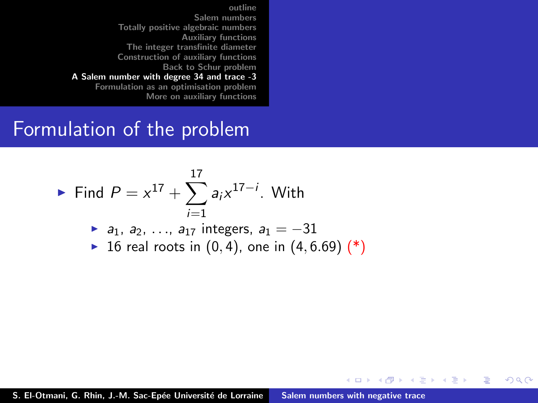#### Formulation of the problem

► Find 
$$
P = x^{17} + \sum_{i=1}^{17} a_i x^{17-i}
$$
. With  
\n▶  $a_1, a_2, ..., a_{17}$  integers,  $a_1 = -31$   
\n▶ 16 real roots in (0, 4), one in (4, 6.69) (\*)

メロメ メタメ メミメ メミメ

重

 $2Q$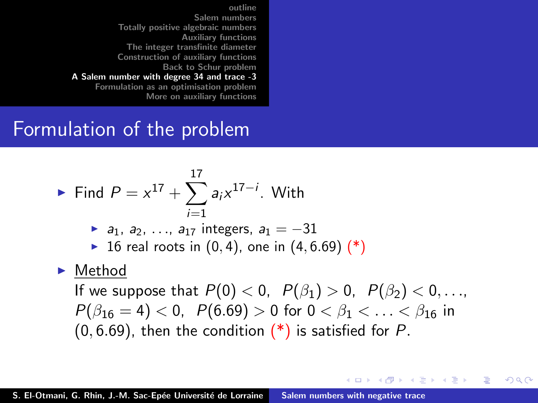### Formulation of the problem

• Find 
$$
P = x^{17} + \sum_{i=1}^{17} a_i x^{17-i}
$$
. With

$$
a_1, a_2, ..., a_{17}
$$
 integers,  $a_1 = -31$ 

• 16 real roots in 
$$
(0, 4)
$$
, one in  $(4, 6.69)$  (\*)

#### $\blacktriangleright$  Method

If we suppose that  $P(0) < 0$ ,  $P(\beta_1) > 0$ ,  $P(\beta_2) < 0$ , ...  $P(\beta_{16} = 4) < 0$ ,  $P(6.69) > 0$  for  $0 < \beta_1 < \ldots < \beta_{16}$  in  $(0, 6.69)$ , then the condition  $(*)$  is satisfied for P.

イロト イ押 トイモト イモト

つくい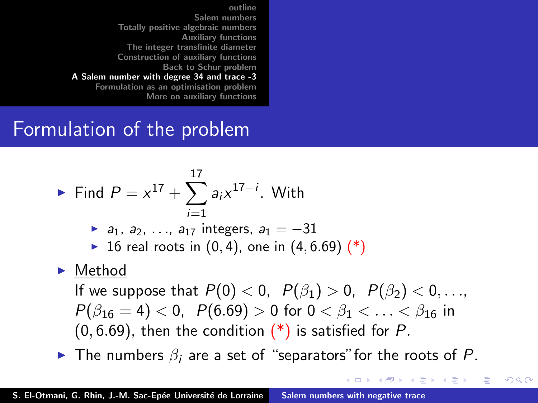## Formulation of the problem

• Find 
$$
P = x^{17} + \sum_{i=1}^{17} a_i x^{17-i}
$$
. With

- $\triangleright$  a<sub>1</sub>, a<sub>2</sub>, ..., a<sub>17</sub> integers, a<sub>1</sub> = −31
- ▶ 16 real roots in  $(0, 4)$ , one in  $(4, 6.69)$   $(*)$

#### $\blacktriangleright$  Method

If we suppose that  $P(0) < 0$ ,  $P(\beta_1) > 0$ ,  $P(\beta_2) < 0$ ,...  $P(\beta_{16} = 4) < 0$ ,  $P(6.69) > 0$  for  $0 < \beta_1 < \ldots < \beta_{16}$  in  $(0, 6.69)$ , then the condition  $(*)$  is satisfied for P.

 $\blacktriangleright$  The numbers  $\beta_i$  are a set of "separators" for the roots of P.

イロメ マ桐 メラミンマチャ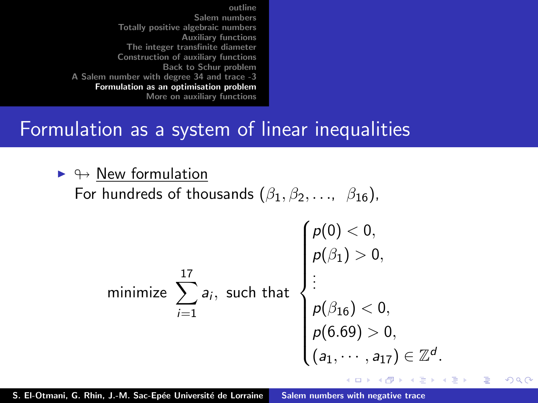### <span id="page-37-0"></span>Formulation as a system of linear inequalities

 $\blacktriangleright \leftrightarrow$  New formulation

For hundreds of thousands  $(\beta_1, \beta_2, \ldots, \beta_{16})$ ,

minimize 
$$
\sum_{i=1}^{17} a_i
$$
, such that  
 $\rho(\beta_1) > 0$ ,  
 $\rho(\beta_{16}) < 0$ ,  
 $\rho(6.69) > 0$ ,  
 $(a_1, \dots, a_{17}) \in \mathbb{Z}^d$ .

K ロ ⊁ K 倒 ≯ K ミ ⊁ K ミ ≯

 $2Q$ 

后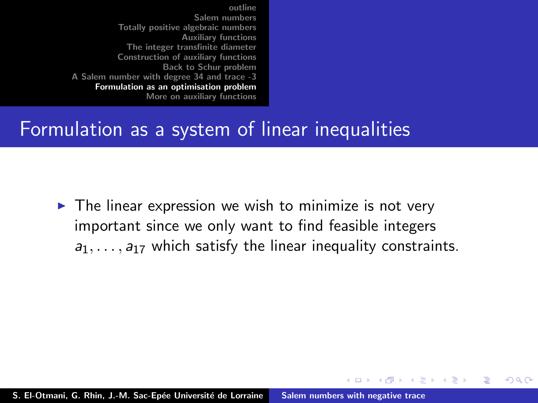### Formulation as a system of linear inequalities

 $\triangleright$  The linear expression we wish to minimize is not very important since we only want to find feasible integers  $a_1, \ldots, a_{17}$  which satisfy the linear inequality constraints.

イロメ イタメ イラメ

i al T≣ira

 $\Omega$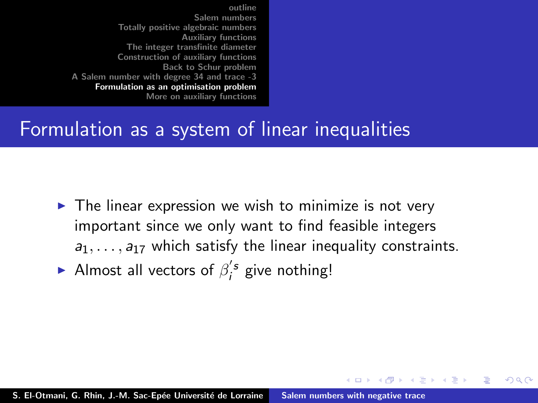### Formulation as a system of linear inequalities

 $\triangleright$  The linear expression we wish to minimize is not very important since we only want to find feasible integers  $a_1, \ldots, a_{17}$  which satisfy the linear inequality constraints.

 $4.11 \times 4.60 \times 4.72 \times$ 

へのへ

Almost all vectors of  $\beta_i^{'s}$  give nothing!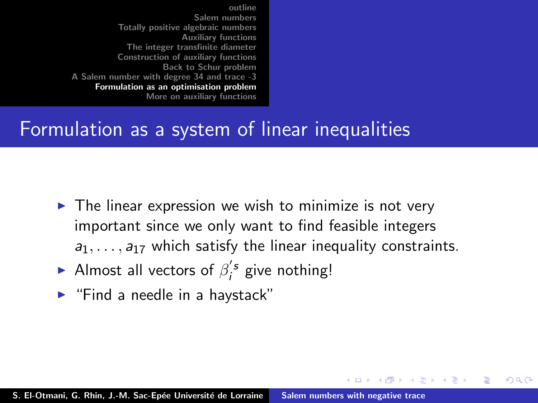## Formulation as a system of linear inequalities

 $\triangleright$  The linear expression we wish to minimize is not very important since we only want to find feasible integers  $a_1, \ldots, a_{17}$  which satisfy the linear inequality constraints.

 $4.11 \times 4.60 \times 4.72 \times$ 

- Almost all vectors of  $\beta_i^{'s}$  give nothing!
- $\blacktriangleright$  "Find a needle in a haystack"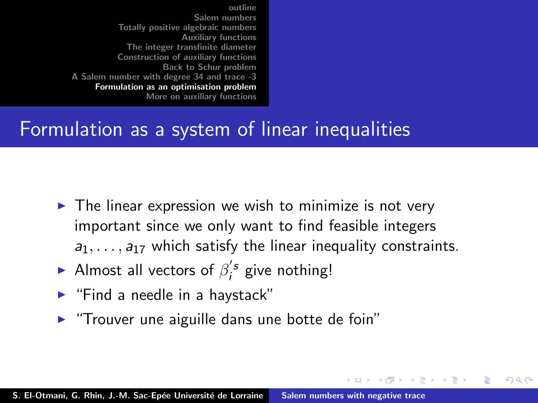## Formulation as a system of linear inequalities

 $\triangleright$  The linear expression we wish to minimize is not very important since we only want to find feasible integers  $a_1, \ldots, a_{17}$  which satisfy the linear inequality constraints.

 $4.11 \times 4.60 \times 4.72 \times$ 

- Almost all vectors of  $\beta_i^{'s}$  give nothing!
- $\blacktriangleright$  "Find a needle in a haystack"
- $\blacktriangleright$  "Trouver une aiguille dans une botte de foin"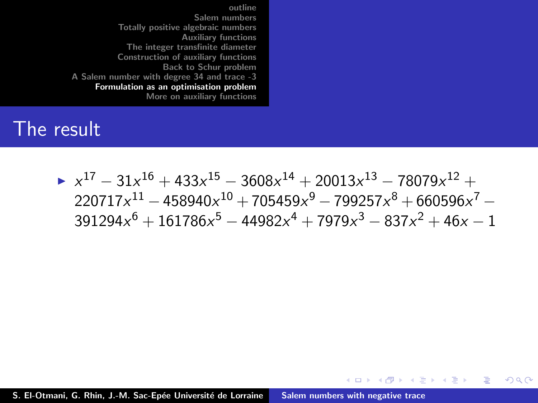#### The result

 $\triangleright x^{17} - 31x^{16} + 433x^{15} - 3608x^{14} + 20013x^{13} - 78079x^{12} +$  $220717x^{11} - 458940x^{10} + 705459x^9 - 799257x^8 + 660596x^7 391294x^6 + 161786x^5 - 44982x^4 + 7979x^3 - 837x^2 + 46x - 1$ 

 $2Q$ 

 $\left\{ \begin{array}{ccc} 1 & 0 & 0 \\ 0 & 1 & 0 \end{array} \right\}$  ,  $\left\{ \begin{array}{ccc} -1 & 0 & 0 \\ 0 & 0 & 0 \end{array} \right\}$ 

**ALCOHOL:**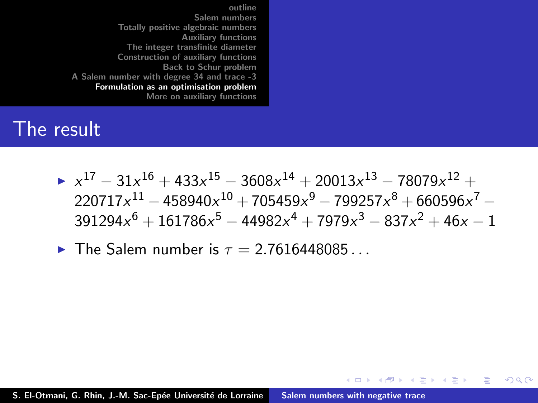#### The result

 $\triangleright x^{17} - 31x^{16} + 433x^{15} - 3608x^{14} + 20013x^{13} - 78079x^{12} +$  $220717x^{11} - 458940x^{10} + 705459x^9 - 799257x^8 + 660596x^7 391294x^6 + 161786x^5 - 44982x^4 + 7979x^3 - 837x^2 + 46x - 1$ 

 $2Q$ 

 $\left\{ \begin{array}{ccc} 1 & 0 & 0 \\ 0 & 1 & 0 \end{array} \right\}$  ,  $\left\{ \begin{array}{ccc} -1 & 0 & 0 \\ 0 & 0 & 0 \end{array} \right\}$ 

na ⊞is

 $\blacktriangleright$  The Salem number is  $\tau = 2.7616448085...$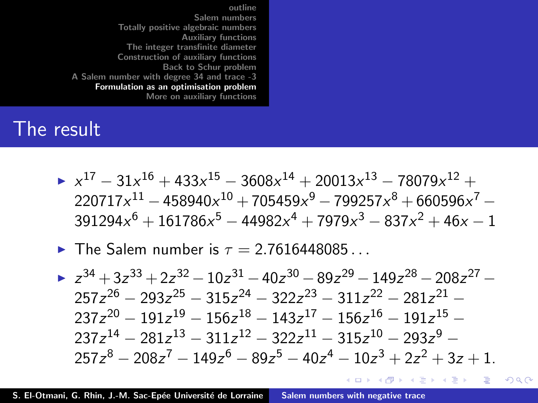#### <span id="page-44-0"></span>The result

- $\triangleright x^{17} 31x^{16} + 433x^{15} 3608x^{14} + 20013x^{13} 78079x^{12} +$  $220717x^{11} - 458940x^{10} + 705459x^9 - 799257x^8 + 660596x^7 391294x^6 + 161786x^5 - 44982x^4 + 7979x^3 - 837x^2 + 46x - 1$
- $\blacktriangleright$  The Salem number is  $\tau = 2.7616448085$

 $\blacktriangleright$   $z^{34} + 3z^{33} + 2z^{32} - 10z^{31} - 40z^{30} - 89z^{29} - 149z^{28} - 208z^{27} 257z^{26} - 293z^{25} - 315z^{24} - 322z^{23} - 311z^{22} - 281z^{21} 237z^{20} - 191z^{19} - 156z^{18} - 143z^{17} - 156z^{16} - 191z^{15} 237z^{14} - 281z^{13} - 311z^{12} - 322z^{11} - 315z^{10} - 293z^9 257z^8 - 208z^7 - 149z^6 - 89z^5 - 40z^4 - 10z^3 + 2z^2 + 3z + 1.$ 

K ロ ▶ K @ ▶ K ミ ▶ K ミ ▶ │ 듣

 $2Q$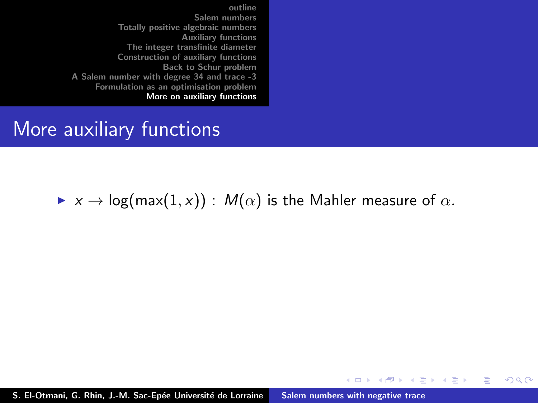#### More auxiliary functions

#### $\triangleright$   $x \to \log(\max(1, x))$  :  $M(\alpha)$  is the Mahler measure of  $\alpha$ .

K ロ ⊁ K 倒 ≯ K ミ ⊁ K ミ ≯

 $2Q$ 

扂

S. El-Otmani, G. Rhin, J.-M. Sac-Epée Université de Lorraine [Salem numbers with negative trace](#page-0-0)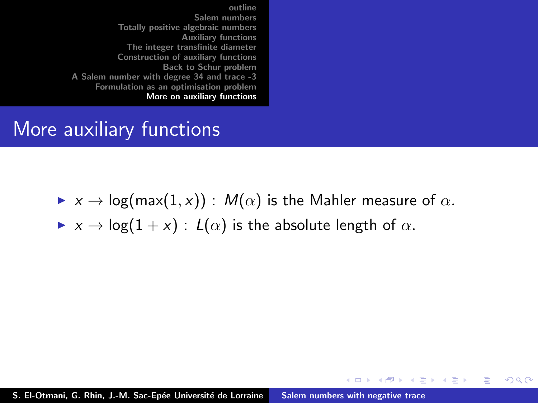### <span id="page-46-0"></span>More auxiliary functions

 $\triangleright$   $x \to \log(\max(1, x))$  :  $M(\alpha)$  is the Mahler measure of  $\alpha$ .

イロト イ押 トイモト イモト

 $2Q$ 

后

 $\triangleright$   $x \to \log(1+x)$ :  $L(\alpha)$  is the absolute length of  $\alpha$ .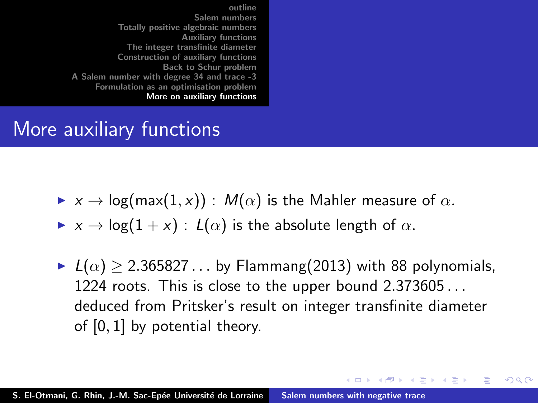## More auxiliary functions

- $\triangleright$   $x \to \log(\max(1, x))$ :  $M(\alpha)$  is the Mahler measure of  $\alpha$ .
- $\triangleright$   $x \to \log(1+x)$ :  $L(\alpha)$  is the absolute length of  $\alpha$ .
- $\blacktriangleright$   $L(\alpha) > 2.365827...$  by Flammang(2013) with 88 polynomials, 1224 roots. This is close to the upper bound 2.373605 . . . deduced from Pritsker's result on integer transfinite diameter of [0, 1] by potential theory.

イロメ イ部メ イヨメ イヨメー